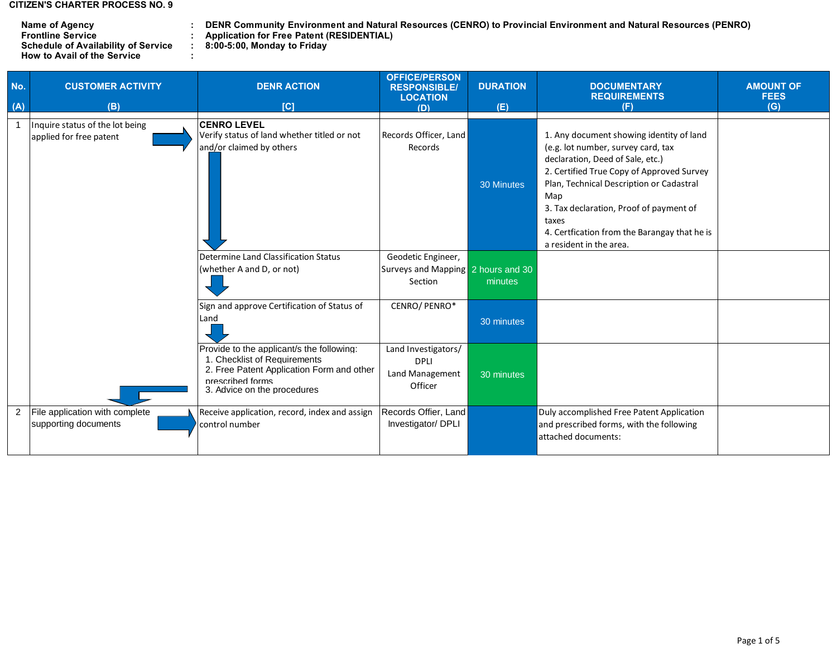## **CITIZEN'S CHARTER PROCESS NO. 9**

| Name of Agency                             | <b>DENR Community Environment and Natura</b>     |
|--------------------------------------------|--------------------------------------------------|
| <b>Frontline Service</b>                   | <b>Application for Free Patent (RESIDENTIAL)</b> |
| <b>Schedule of Availability of Service</b> | 8:00-5:00, Monday to Friday                      |
| <b>How to Avail of the Service</b>         |                                                  |

**: DENR Community Environment and Natural Resources (CENRO) to Provincial Environment and Natural Resources (PENRO)**

| No.<br>(A) | <b>CUSTOMER ACTIVITY</b><br>(B)                            | <b>DENR ACTION</b><br>[C]                                                                                                                                                 | <b>OFFICE/PERSON</b><br><b>RESPONSIBLE/</b><br><b>LOCATION</b><br>(D) | <b>DURATION</b><br>(E) | <b>DOCUMENTARY</b><br><b>REQUIREMENTS</b><br>(F)                                                                                                                                                                                                                                                                                                  | <b>AMOUNT OF</b><br><b>FEES</b><br>(G) |
|------------|------------------------------------------------------------|---------------------------------------------------------------------------------------------------------------------------------------------------------------------------|-----------------------------------------------------------------------|------------------------|---------------------------------------------------------------------------------------------------------------------------------------------------------------------------------------------------------------------------------------------------------------------------------------------------------------------------------------------------|----------------------------------------|
|            | Inquire status of the lot being<br>applied for free patent | <b>CENRO LEVEL</b><br>Verify status of land whether titled or not<br>and/or claimed by others                                                                             | Records Officer, Land<br>Records                                      | 30 Minutes             | 1. Any document showing identity of land<br>(e.g. lot number, survey card, tax<br>declaration, Deed of Sale, etc.)<br>2. Certified True Copy of Approved Survey<br>Plan, Technical Description or Cadastral<br>Map<br>3. Tax declaration, Proof of payment of<br>taxes<br>4. Certfication from the Barangay that he is<br>a resident in the area. |                                        |
|            |                                                            | Determine Land Classification Status<br>(whether A and D, or not)                                                                                                         | Geodetic Engineer,<br>Surveys and Mapping 2 hours and 30<br>Section   | minutes                |                                                                                                                                                                                                                                                                                                                                                   |                                        |
|            |                                                            | Sign and approve Certification of Status of<br>Land                                                                                                                       | CENRO/PENRO*                                                          | 30 minutes             |                                                                                                                                                                                                                                                                                                                                                   |                                        |
|            |                                                            | Provide to the applicant/s the following:<br>1. Checklist of Requirements<br>2. Free Patent Application Form and other<br>prescribed forms<br>3. Advice on the procedures | Land Investigators/<br><b>DPLI</b><br>Land Management<br>Officer      | 30 minutes             |                                                                                                                                                                                                                                                                                                                                                   |                                        |
| 2          | File application with complete<br>supporting documents     | Receive application, record, index and assign<br>control number                                                                                                           | Records Offier, Land<br>Investigator/ DPLI                            |                        | Duly accomplished Free Patent Application<br>and prescribed forms, with the following<br>attached documents:                                                                                                                                                                                                                                      |                                        |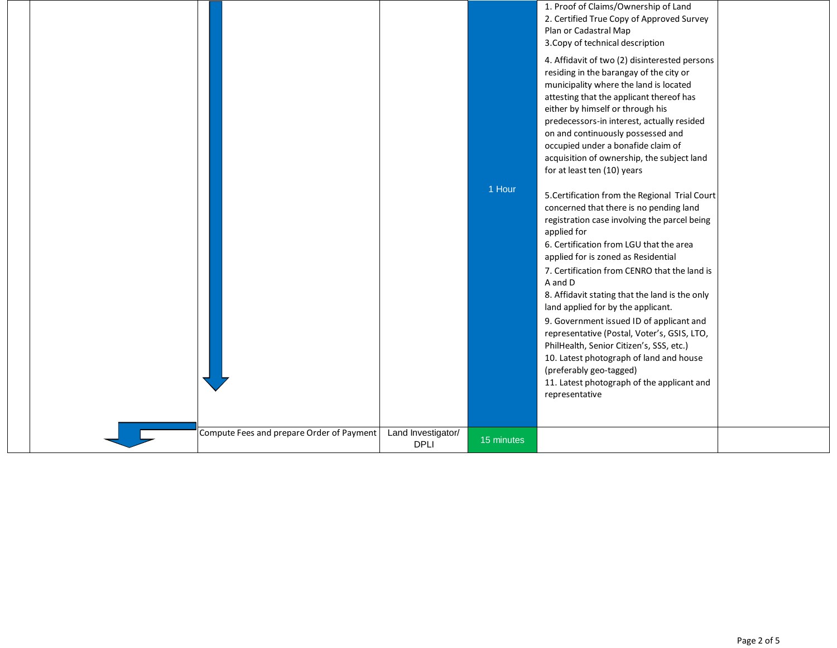|  |                                           |                                   |            | 1. Proof of Claims/Ownership of Land<br>2. Certified True Copy of Approved Survey<br>Plan or Cadastral Map<br>3. Copy of technical description<br>4. Affidavit of two (2) disinterested persons<br>residing in the barangay of the city or<br>municipality where the land is located<br>attesting that the applicant thereof has<br>either by himself or through his<br>predecessors-in interest, actually resided<br>on and continuously possessed and<br>occupied under a bonafide claim of<br>acquisition of ownership, the subject land<br>for at least ten (10) years                                                                                                 |  |
|--|-------------------------------------------|-----------------------------------|------------|----------------------------------------------------------------------------------------------------------------------------------------------------------------------------------------------------------------------------------------------------------------------------------------------------------------------------------------------------------------------------------------------------------------------------------------------------------------------------------------------------------------------------------------------------------------------------------------------------------------------------------------------------------------------------|--|
|  |                                           |                                   | 1 Hour     | 5. Certification from the Regional Trial Court<br>concerned that there is no pending land<br>registration case involving the parcel being<br>applied for<br>6. Certification from LGU that the area<br>applied for is zoned as Residential<br>7. Certification from CENRO that the land is<br>A and D<br>8. Affidavit stating that the land is the only<br>land applied for by the applicant.<br>9. Government issued ID of applicant and<br>representative (Postal, Voter's, GSIS, LTO,<br>PhilHealth, Senior Citizen's, SSS, etc.)<br>10. Latest photograph of land and house<br>(preferably geo-tagged)<br>11. Latest photograph of the applicant and<br>representative |  |
|  | Compute Fees and prepare Order of Payment | Land Investigator/<br><b>DPLI</b> | 15 minutes |                                                                                                                                                                                                                                                                                                                                                                                                                                                                                                                                                                                                                                                                            |  |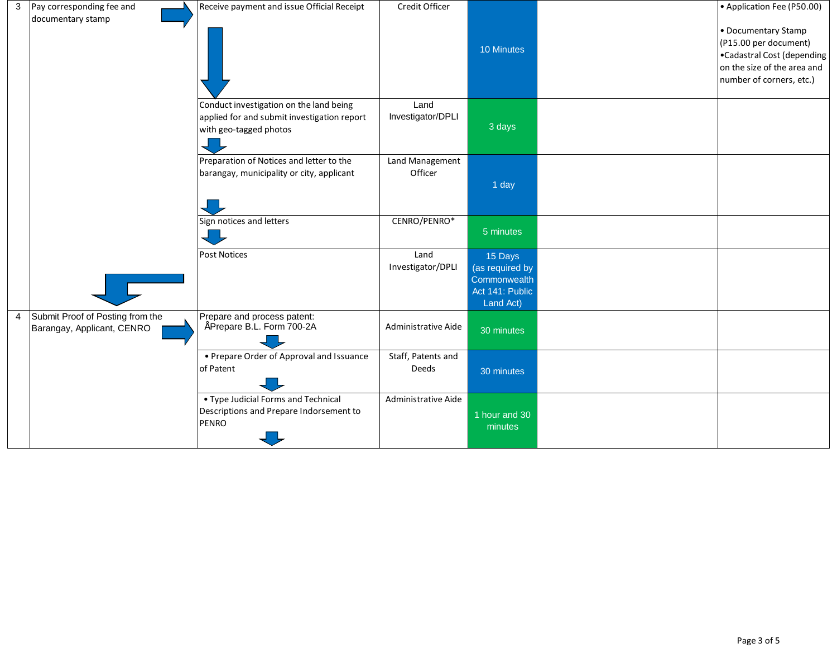| 3              | Pay corresponding fee and                                      | Receive payment and issue Official Receipt                                                                       | Credit Officer              |                                                                            | • Application Fee (P50.00)                                                                                                            |
|----------------|----------------------------------------------------------------|------------------------------------------------------------------------------------------------------------------|-----------------------------|----------------------------------------------------------------------------|---------------------------------------------------------------------------------------------------------------------------------------|
|                | documentary stamp                                              |                                                                                                                  |                             | 10 Minutes                                                                 | • Documentary Stamp<br>(P15.00 per document)<br>•Cadastral Cost (depending<br>on the size of the area and<br>number of corners, etc.) |
|                |                                                                | Conduct investigation on the land being<br>applied for and submit investigation report<br>with geo-tagged photos | Land<br>Investigator/DPLI   | 3 days                                                                     |                                                                                                                                       |
|                |                                                                | Preparation of Notices and letter to the<br>barangay, municipality or city, applicant                            | Land Management<br>Officer  | 1 day                                                                      |                                                                                                                                       |
|                |                                                                | Sign notices and letters                                                                                         | CENRO/PENRO*                | 5 minutes                                                                  |                                                                                                                                       |
|                |                                                                | <b>Post Notices</b>                                                                                              | Land<br>Investigator/DPLI   | 15 Days<br>(as required by<br>Commonwealth<br>Act 141: Public<br>Land Act) |                                                                                                                                       |
| $\overline{4}$ | Submit Proof of Posting from the<br>Barangay, Applicant, CENRO | Prepare and process patent:<br>Prepare B.L. Form 700-2A                                                          | Administrative Aide         | 30 minutes                                                                 |                                                                                                                                       |
|                |                                                                | • Prepare Order of Approval and Issuance<br>of Patent                                                            | Staff, Patents and<br>Deeds | 30 minutes                                                                 |                                                                                                                                       |
|                |                                                                | • Type Judicial Forms and Technical<br>Descriptions and Prepare Indorsement to<br><b>PENRO</b>                   | Administrative Aide         | 1 hour and 30<br>minutes                                                   |                                                                                                                                       |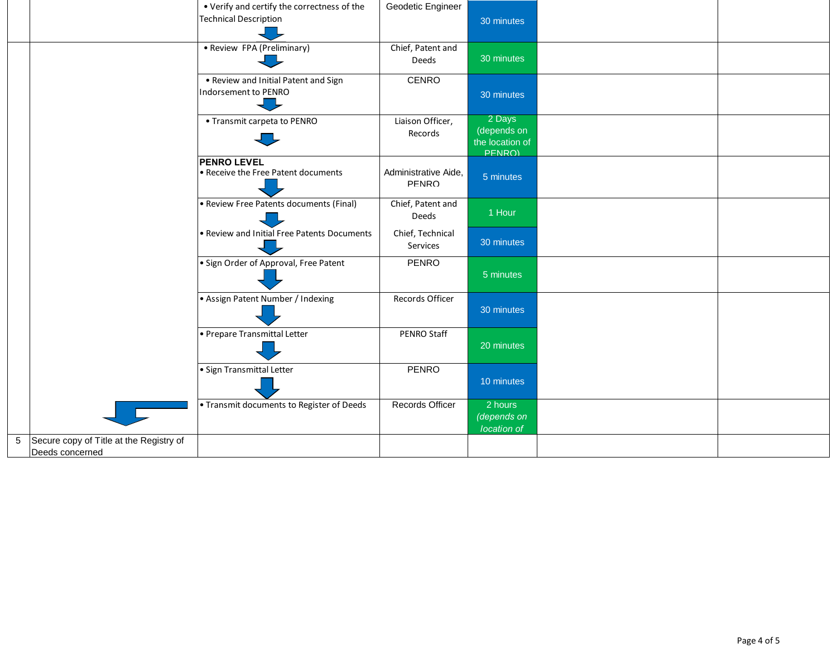|                                                              | • Verify and certify the correctness of the<br><b>Technical Description</b> | Geodetic Engineer             | 30 minutes                                         |  |
|--------------------------------------------------------------|-----------------------------------------------------------------------------|-------------------------------|----------------------------------------------------|--|
|                                                              | • Review FPA (Preliminary)                                                  | Chief, Patent and<br>Deeds    | 30 minutes                                         |  |
|                                                              | . Review and Initial Patent and Sign<br>Indorsement to PENRO                | <b>CENRO</b>                  | 30 minutes                                         |  |
|                                                              | • Transmit carpeta to PENRO                                                 | Liaison Officer,<br>Records   | 2 Days<br>(depends on<br>the location of<br>PENRO) |  |
|                                                              | <b>PENRO LEVEL</b><br>• Receive the Free Patent documents                   | Administrative Aide,<br>PFNRO | 5 minutes                                          |  |
|                                                              | • Review Free Patents documents (Final)                                     | Chief, Patent and<br>Deeds    | 1 Hour                                             |  |
|                                                              | • Review and Initial Free Patents Documents                                 | Chief, Technical<br>Services  | 30 minutes                                         |  |
|                                                              | · Sign Order of Approval, Free Patent                                       | <b>PENRO</b>                  | 5 minutes                                          |  |
|                                                              | • Assign Patent Number / Indexing                                           | Records Officer               | 30 minutes                                         |  |
|                                                              | • Prepare Transmittal Letter                                                | PENRO Staff                   | 20 minutes                                         |  |
|                                                              | · Sign Transmittal Letter                                                   | <b>PENRO</b>                  | 10 minutes                                         |  |
|                                                              | • Transmit documents to Register of Deeds                                   | <b>Records Officer</b>        | 2 hours<br>(depends on<br>location of              |  |
| 5 Secure copy of Title at the Registry of<br>Deeds concerned |                                                                             |                               |                                                    |  |